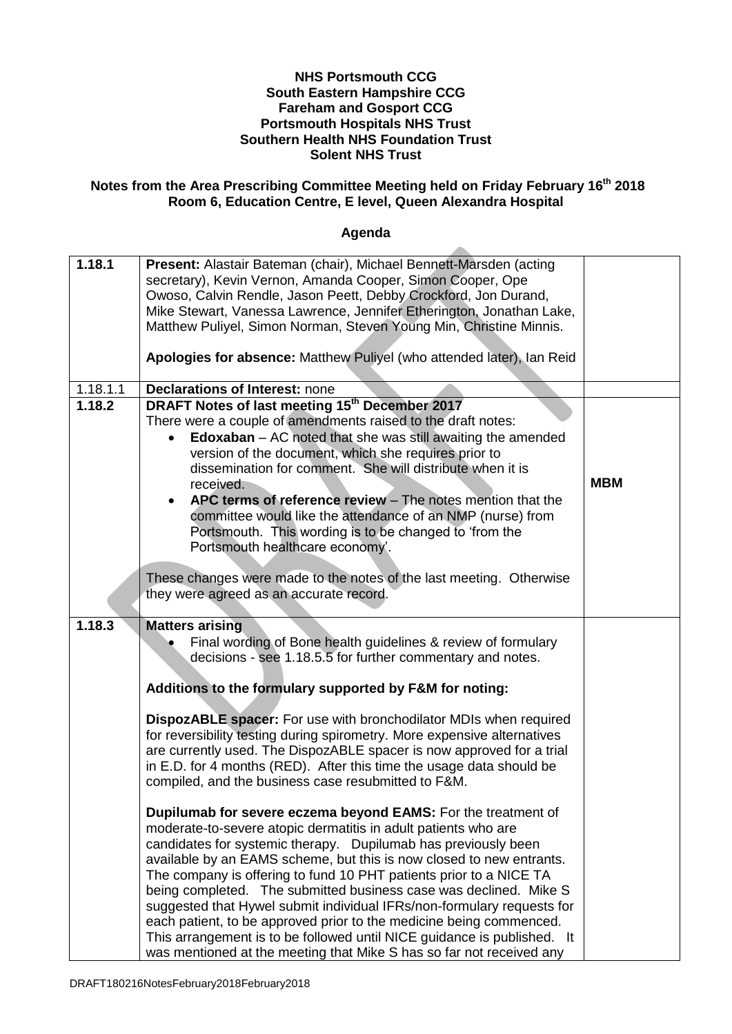#### **NHS Portsmouth CCG South Eastern Hampshire CCG Fareham and Gosport CCG Portsmouth Hospitals NHS Trust Southern Health NHS Foundation Trust Solent NHS Trust**

#### **Notes from the Area Prescribing Committee Meeting held on Friday February 16 th 2018 Room 6, Education Centre, E level, Queen Alexandra Hospital**

#### **Agenda**

ж.

| 1.18.1   | Present: Alastair Bateman (chair), Michael Bennett-Marsden (acting       |            |
|----------|--------------------------------------------------------------------------|------------|
|          | secretary), Kevin Vernon, Amanda Cooper, Simon Cooper, Ope               |            |
|          | Owoso, Calvin Rendle, Jason Peett, Debby Crockford, Jon Durand,          |            |
|          | Mike Stewart, Vanessa Lawrence, Jennifer Etherington, Jonathan Lake,     |            |
|          | Matthew Puliyel, Simon Norman, Steven Young Min, Christine Minnis.       |            |
|          |                                                                          |            |
|          | Apologies for absence: Matthew Puliyel (who attended later), Ian Reid    |            |
|          |                                                                          |            |
|          |                                                                          |            |
| 1.18.1.1 | <b>Declarations of Interest: none</b>                                    |            |
| 1.18.2   | DRAFT Notes of last meeting 15 <sup>th</sup> December 2017               |            |
|          | There were a couple of amendments raised to the draft notes:             |            |
|          | <b>Edoxaban</b> $-$ AC noted that she was still awaiting the amended     |            |
|          | version of the document, which she requires prior to                     |            |
|          | dissemination for comment. She will distribute when it is                |            |
|          |                                                                          | <b>MBM</b> |
|          | received.                                                                |            |
|          | APC terms of reference review - The notes mention that the<br>$\bullet$  |            |
|          | committee would like the attendance of an NMP (nurse) from               |            |
|          | Portsmouth. This wording is to be changed to 'from the                   |            |
|          | Portsmouth healthcare economy'.                                          |            |
|          |                                                                          |            |
|          | These changes were made to the notes of the last meeting. Otherwise      |            |
|          | they were agreed as an accurate record.                                  |            |
|          |                                                                          |            |
| 1.18.3   |                                                                          |            |
|          | <b>Matters arising</b>                                                   |            |
|          | Final wording of Bone health guidelines & review of formulary            |            |
|          | decisions - see 1.18.5.5 for further commentary and notes.               |            |
|          |                                                                          |            |
|          | Additions to the formulary supported by F&M for noting:                  |            |
|          |                                                                          |            |
|          | DispozABLE spacer: For use with bronchodilator MDIs when required        |            |
|          | for reversibility testing during spirometry. More expensive alternatives |            |
|          | are currently used. The DispozABLE spacer is now approved for a trial    |            |
|          |                                                                          |            |
|          | in E.D. for 4 months (RED). After this time the usage data should be     |            |
|          | compiled, and the business case resubmitted to F&M.                      |            |
|          |                                                                          |            |
|          | Dupilumab for severe eczema beyond EAMS: For the treatment of            |            |
|          | moderate-to-severe atopic dermatitis in adult patients who are           |            |
|          | candidates for systemic therapy. Dupilumab has previously been           |            |
|          | available by an EAMS scheme, but this is now closed to new entrants.     |            |
|          | The company is offering to fund 10 PHT patients prior to a NICE TA       |            |
|          | being completed. The submitted business case was declined. Mike S        |            |
|          |                                                                          |            |
|          | suggested that Hywel submit individual IFRs/non-formulary requests for   |            |
|          | each patient, to be approved prior to the medicine being commenced.      |            |
|          | This arrangement is to be followed until NICE guidance is published. It  |            |
|          | was mentioned at the meeting that Mike S has so far not received any     |            |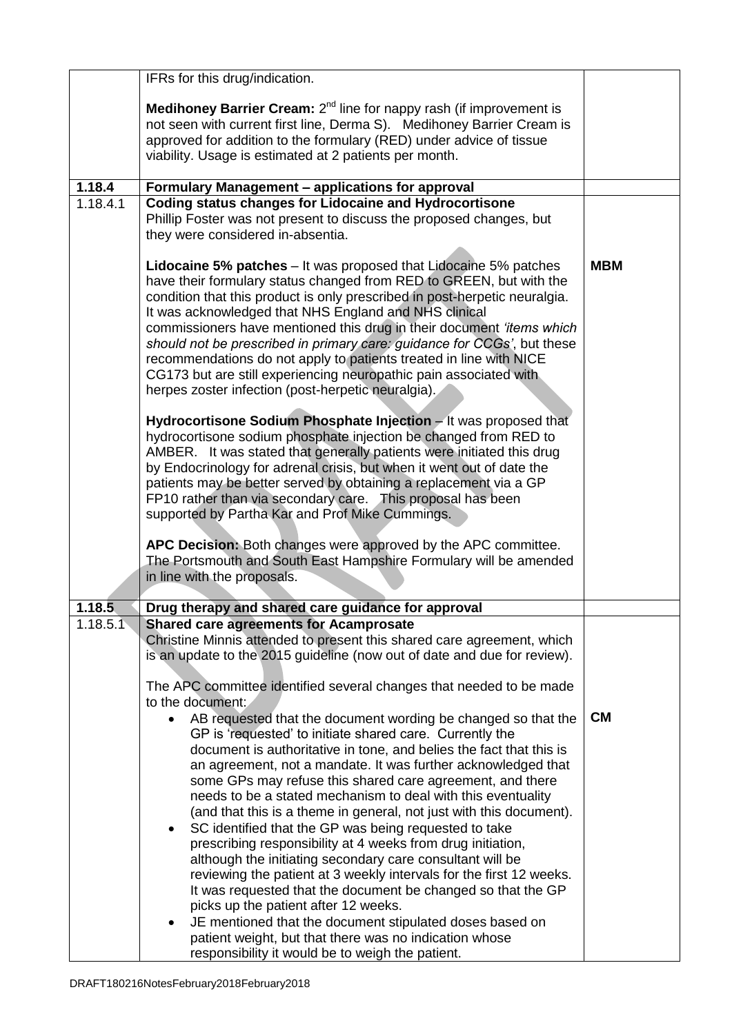|                    | IFRs for this drug/indication.                                                                                                                                                                                                                                                                                                                                                                                                                                                                                                                                                                                                             |            |
|--------------------|--------------------------------------------------------------------------------------------------------------------------------------------------------------------------------------------------------------------------------------------------------------------------------------------------------------------------------------------------------------------------------------------------------------------------------------------------------------------------------------------------------------------------------------------------------------------------------------------------------------------------------------------|------------|
|                    | <b>Medihoney Barrier Cream:</b> $2^{nd}$ line for nappy rash (if improvement is                                                                                                                                                                                                                                                                                                                                                                                                                                                                                                                                                            |            |
|                    | not seen with current first line, Derma S). Medihoney Barrier Cream is                                                                                                                                                                                                                                                                                                                                                                                                                                                                                                                                                                     |            |
|                    | approved for addition to the formulary (RED) under advice of tissue                                                                                                                                                                                                                                                                                                                                                                                                                                                                                                                                                                        |            |
|                    | viability. Usage is estimated at 2 patients per month.                                                                                                                                                                                                                                                                                                                                                                                                                                                                                                                                                                                     |            |
|                    |                                                                                                                                                                                                                                                                                                                                                                                                                                                                                                                                                                                                                                            |            |
| 1.18.4<br>1.18.4.1 | Formulary Management - applications for approval                                                                                                                                                                                                                                                                                                                                                                                                                                                                                                                                                                                           |            |
|                    | <b>Coding status changes for Lidocaine and Hydrocortisone</b><br>Phillip Foster was not present to discuss the proposed changes, but<br>they were considered in-absentia.                                                                                                                                                                                                                                                                                                                                                                                                                                                                  |            |
|                    | <b>Lidocaine 5% patches</b> – It was proposed that Lidocaine 5% patches<br>have their formulary status changed from RED to GREEN, but with the<br>condition that this product is only prescribed in post-herpetic neuralgia.<br>It was acknowledged that NHS England and NHS clinical<br>commissioners have mentioned this drug in their document 'items which<br>should not be prescribed in primary care; guidance for CCGs', but these<br>recommendations do not apply to patients treated in line with NICE<br>CG173 but are still experiencing neuropathic pain associated with<br>herpes zoster infection (post-herpetic neuralgia). | <b>MBM</b> |
|                    | Hydrocortisone Sodium Phosphate Injection - It was proposed that<br>hydrocortisone sodium phosphate injection be changed from RED to<br>AMBER. It was stated that generally patients were initiated this drug<br>by Endocrinology for adrenal crisis, but when it went out of date the<br>patients may be better served by obtaining a replacement via a GP<br>FP10 rather than via secondary care. This proposal has been<br>supported by Partha Kar and Prof Mike Cummings.                                                                                                                                                              |            |
|                    | APC Decision: Both changes were approved by the APC committee.<br>The Portsmouth and South East Hampshire Formulary will be amended<br>in line with the proposals.                                                                                                                                                                                                                                                                                                                                                                                                                                                                         |            |
| 1.18.5             | Drug therapy and shared care guidance for approval                                                                                                                                                                                                                                                                                                                                                                                                                                                                                                                                                                                         |            |
| 1.18.5.1           | <b>Shared care agreements for Acamprosate</b>                                                                                                                                                                                                                                                                                                                                                                                                                                                                                                                                                                                              |            |
|                    | Christine Minnis attended to present this shared care agreement, which<br>is an update to the 2015 guideline (now out of date and due for review).                                                                                                                                                                                                                                                                                                                                                                                                                                                                                         |            |
|                    | The APC committee identified several changes that needed to be made                                                                                                                                                                                                                                                                                                                                                                                                                                                                                                                                                                        |            |
|                    | to the document:                                                                                                                                                                                                                                                                                                                                                                                                                                                                                                                                                                                                                           |            |
|                    | AB requested that the document wording be changed so that the                                                                                                                                                                                                                                                                                                                                                                                                                                                                                                                                                                              | <b>CM</b>  |
|                    | GP is 'requested' to initiate shared care. Currently the<br>document is authoritative in tone, and belies the fact that this is                                                                                                                                                                                                                                                                                                                                                                                                                                                                                                            |            |
|                    | an agreement, not a mandate. It was further acknowledged that                                                                                                                                                                                                                                                                                                                                                                                                                                                                                                                                                                              |            |
|                    | some GPs may refuse this shared care agreement, and there                                                                                                                                                                                                                                                                                                                                                                                                                                                                                                                                                                                  |            |
|                    | needs to be a stated mechanism to deal with this eventuality                                                                                                                                                                                                                                                                                                                                                                                                                                                                                                                                                                               |            |
|                    | (and that this is a theme in general, not just with this document).                                                                                                                                                                                                                                                                                                                                                                                                                                                                                                                                                                        |            |
|                    | SC identified that the GP was being requested to take<br>$\bullet$<br>prescribing responsibility at 4 weeks from drug initiation,                                                                                                                                                                                                                                                                                                                                                                                                                                                                                                          |            |
|                    | although the initiating secondary care consultant will be                                                                                                                                                                                                                                                                                                                                                                                                                                                                                                                                                                                  |            |
|                    | reviewing the patient at 3 weekly intervals for the first 12 weeks.                                                                                                                                                                                                                                                                                                                                                                                                                                                                                                                                                                        |            |
|                    | It was requested that the document be changed so that the GP                                                                                                                                                                                                                                                                                                                                                                                                                                                                                                                                                                               |            |
|                    | picks up the patient after 12 weeks.                                                                                                                                                                                                                                                                                                                                                                                                                                                                                                                                                                                                       |            |
|                    | JE mentioned that the document stipulated doses based on                                                                                                                                                                                                                                                                                                                                                                                                                                                                                                                                                                                   |            |
|                    | patient weight, but that there was no indication whose<br>responsibility it would be to weigh the patient.                                                                                                                                                                                                                                                                                                                                                                                                                                                                                                                                 |            |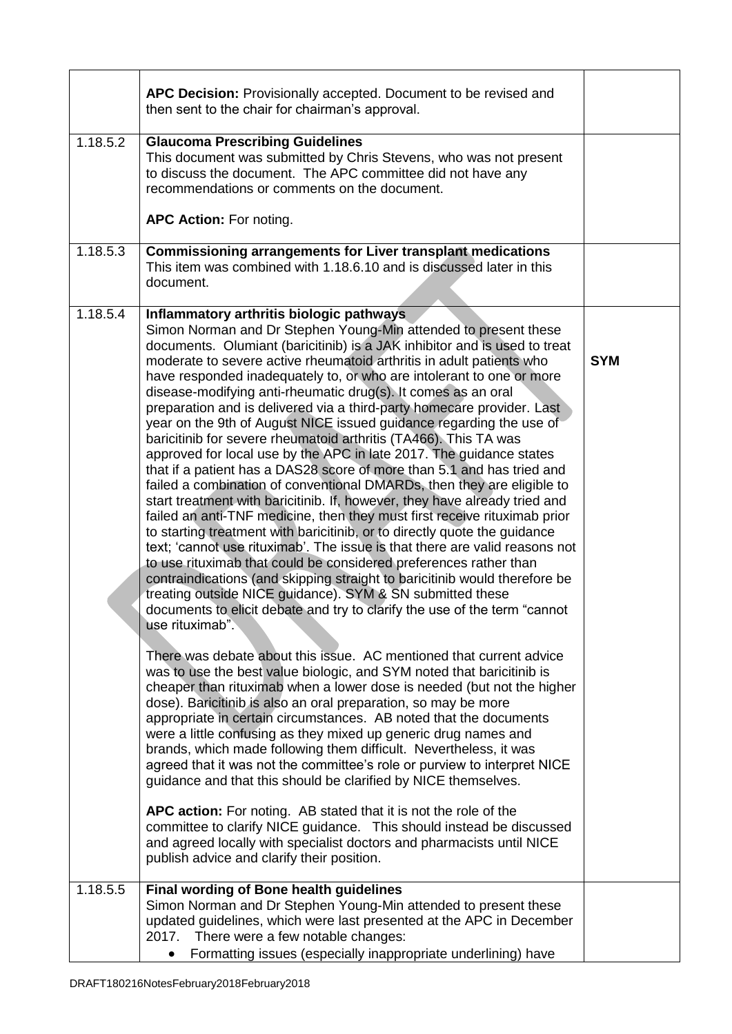|          | APC Decision: Provisionally accepted. Document to be revised and<br>then sent to the chair for chairman's approval.                                                                                                                                                                                                                                                                                                                                                                                                                                                                                                                                                                                                                                                                                                                                                                                                                                                                                                                                                                                                                                                                                                                                                                                                                                                                                                                                                                                                                                                                                                                                                                                                                                                                                                                                                                                                                                                                                                                                                                                                                                                                                                                                                                                                                                                                                                         |            |
|----------|-----------------------------------------------------------------------------------------------------------------------------------------------------------------------------------------------------------------------------------------------------------------------------------------------------------------------------------------------------------------------------------------------------------------------------------------------------------------------------------------------------------------------------------------------------------------------------------------------------------------------------------------------------------------------------------------------------------------------------------------------------------------------------------------------------------------------------------------------------------------------------------------------------------------------------------------------------------------------------------------------------------------------------------------------------------------------------------------------------------------------------------------------------------------------------------------------------------------------------------------------------------------------------------------------------------------------------------------------------------------------------------------------------------------------------------------------------------------------------------------------------------------------------------------------------------------------------------------------------------------------------------------------------------------------------------------------------------------------------------------------------------------------------------------------------------------------------------------------------------------------------------------------------------------------------------------------------------------------------------------------------------------------------------------------------------------------------------------------------------------------------------------------------------------------------------------------------------------------------------------------------------------------------------------------------------------------------------------------------------------------------------------------------------------------------|------------|
| 1.18.5.2 | <b>Glaucoma Prescribing Guidelines</b><br>This document was submitted by Chris Stevens, who was not present<br>to discuss the document. The APC committee did not have any<br>recommendations or comments on the document.<br>APC Action: For noting.                                                                                                                                                                                                                                                                                                                                                                                                                                                                                                                                                                                                                                                                                                                                                                                                                                                                                                                                                                                                                                                                                                                                                                                                                                                                                                                                                                                                                                                                                                                                                                                                                                                                                                                                                                                                                                                                                                                                                                                                                                                                                                                                                                       |            |
| 1.18.5.3 | Commissioning arrangements for Liver transplant medications<br>This item was combined with 1.18.6.10 and is discussed later in this<br>document.                                                                                                                                                                                                                                                                                                                                                                                                                                                                                                                                                                                                                                                                                                                                                                                                                                                                                                                                                                                                                                                                                                                                                                                                                                                                                                                                                                                                                                                                                                                                                                                                                                                                                                                                                                                                                                                                                                                                                                                                                                                                                                                                                                                                                                                                            |            |
| 1.18.5.4 | Inflammatory arthritis biologic pathways<br>Simon Norman and Dr Stephen Young-Min attended to present these<br>documents. Olumiant (baricitinib) is a JAK inhibitor and is used to treat<br>moderate to severe active rheumatoid arthritis in adult patients who<br>have responded inadequately to, or who are intolerant to one or more<br>disease-modifying anti-rheumatic drug(s). It comes as an oral<br>preparation and is delivered via a third-party homecare provider. Last<br>year on the 9th of August NICE issued guidance regarding the use of<br>baricitinib for severe rheumatoid arthritis (TA466). This TA was<br>approved for local use by the APC in late 2017. The guidance states<br>that if a patient has a DAS28 score of more than 5.1 and has tried and<br>failed a combination of conventional DMARDs, then they are eligible to<br>start treatment with baricitinib. If, however, they have already tried and<br>failed an anti-TNF medicine, then they must first receive rituximab prior<br>to starting treatment with baricitinib, or to directly quote the guidance<br>text; 'cannot use rituximab'. The issue is that there are valid reasons not<br>to use rituximab that could be considered preferences rather than<br>contraindications (and skipping straight to baricitinib would therefore be<br>treating outside NICE guidance). SYM & SN submitted these<br>documents to elicit debate and try to clarify the use of the term "cannot"<br>use rituximab".<br>There was debate about this issue. AC mentioned that current advice<br>was to use the best value biologic, and SYM noted that baricitinib is<br>cheaper than rituximab when a lower dose is needed (but not the higher<br>dose). Baricitinib is also an oral preparation, so may be more<br>appropriate in certain circumstances. AB noted that the documents<br>were a little confusing as they mixed up generic drug names and<br>brands, which made following them difficult. Nevertheless, it was<br>agreed that it was not the committee's role or purview to interpret NICE<br>guidance and that this should be clarified by NICE themselves.<br>APC action: For noting. AB stated that it is not the role of the<br>committee to clarify NICE guidance. This should instead be discussed<br>and agreed locally with specialist doctors and pharmacists until NICE<br>publish advice and clarify their position. | <b>SYM</b> |
| 1.18.5.5 | <b>Final wording of Bone health guidelines</b><br>Simon Norman and Dr Stephen Young-Min attended to present these<br>updated guidelines, which were last presented at the APC in December<br>2017. There were a few notable changes:                                                                                                                                                                                                                                                                                                                                                                                                                                                                                                                                                                                                                                                                                                                                                                                                                                                                                                                                                                                                                                                                                                                                                                                                                                                                                                                                                                                                                                                                                                                                                                                                                                                                                                                                                                                                                                                                                                                                                                                                                                                                                                                                                                                        |            |
|          | Formatting issues (especially inappropriate underlining) have                                                                                                                                                                                                                                                                                                                                                                                                                                                                                                                                                                                                                                                                                                                                                                                                                                                                                                                                                                                                                                                                                                                                                                                                                                                                                                                                                                                                                                                                                                                                                                                                                                                                                                                                                                                                                                                                                                                                                                                                                                                                                                                                                                                                                                                                                                                                                               |            |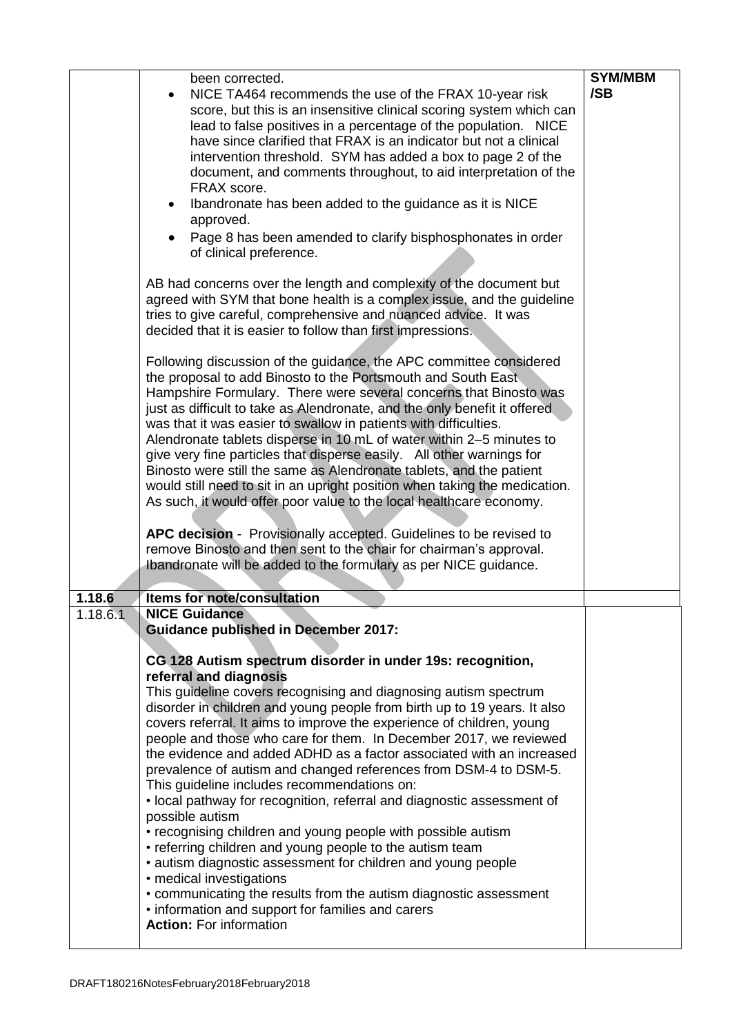|          | been corrected.                                                                                                                                                                                                                                                                                                                                                                                                                                                                                                                                                                                                                                                                                                                                                                                                                                                                                                                                                                                                                                                                                                                                                                                                                                                                                                                                                                                                                                                                                                                                                                                                                                                                                                                                                                                                                                    | <b>SYM/MBM</b> |
|----------|----------------------------------------------------------------------------------------------------------------------------------------------------------------------------------------------------------------------------------------------------------------------------------------------------------------------------------------------------------------------------------------------------------------------------------------------------------------------------------------------------------------------------------------------------------------------------------------------------------------------------------------------------------------------------------------------------------------------------------------------------------------------------------------------------------------------------------------------------------------------------------------------------------------------------------------------------------------------------------------------------------------------------------------------------------------------------------------------------------------------------------------------------------------------------------------------------------------------------------------------------------------------------------------------------------------------------------------------------------------------------------------------------------------------------------------------------------------------------------------------------------------------------------------------------------------------------------------------------------------------------------------------------------------------------------------------------------------------------------------------------------------------------------------------------------------------------------------------------|----------------|
|          | NICE TA464 recommends the use of the FRAX 10-year risk<br>score, but this is an insensitive clinical scoring system which can<br>lead to false positives in a percentage of the population. NICE<br>have since clarified that FRAX is an indicator but not a clinical<br>intervention threshold. SYM has added a box to page 2 of the<br>document, and comments throughout, to aid interpretation of the<br>FRAX score.<br>Ibandronate has been added to the guidance as it is NICE<br>approved.<br>Page 8 has been amended to clarify bisphosphonates in order<br>$\bullet$<br>of clinical preference.<br>AB had concerns over the length and complexity of the document but<br>agreed with SYM that bone health is a complex issue, and the guideline<br>tries to give careful, comprehensive and nuanced advice. It was<br>decided that it is easier to follow than first impressions.<br>Following discussion of the guidance, the APC committee considered<br>the proposal to add Binosto to the Portsmouth and South East<br>Hampshire Formulary. There were several concerns that Binosto was<br>just as difficult to take as Alendronate, and the only benefit it offered<br>was that it was easier to swallow in patients with difficulties.<br>Alendronate tablets disperse in 10 mL of water within 2-5 minutes to<br>give very fine particles that disperse easily. All other warnings for<br>Binosto were still the same as Alendronate tablets, and the patient<br>would still need to sit in an upright position when taking the medication.<br>As such, it would offer poor value to the local healthcare economy.<br>APC decision - Provisionally accepted. Guidelines to be revised to<br>remove Binosto and then sent to the chair for chairman's approval.<br>Ibandronate will be added to the formulary as per NICE guidance. | /SB            |
| 1.18.6   | Items for note/consultation                                                                                                                                                                                                                                                                                                                                                                                                                                                                                                                                                                                                                                                                                                                                                                                                                                                                                                                                                                                                                                                                                                                                                                                                                                                                                                                                                                                                                                                                                                                                                                                                                                                                                                                                                                                                                        |                |
| 1.18.6.1 | <b>NICE Guidance</b>                                                                                                                                                                                                                                                                                                                                                                                                                                                                                                                                                                                                                                                                                                                                                                                                                                                                                                                                                                                                                                                                                                                                                                                                                                                                                                                                                                                                                                                                                                                                                                                                                                                                                                                                                                                                                               |                |
|          | <b>Guidance published in December 2017:</b><br>CG 128 Autism spectrum disorder in under 19s: recognition,<br>referral and diagnosis<br>This guideline covers recognising and diagnosing autism spectrum<br>disorder in children and young people from birth up to 19 years. It also<br>covers referral. It aims to improve the experience of children, young<br>people and those who care for them. In December 2017, we reviewed<br>the evidence and added ADHD as a factor associated with an increased<br>prevalence of autism and changed references from DSM-4 to DSM-5.<br>This guideline includes recommendations on:<br>• local pathway for recognition, referral and diagnostic assessment of<br>possible autism<br>• recognising children and young people with possible autism<br>• referring children and young people to the autism team<br>• autism diagnostic assessment for children and young people<br>• medical investigations<br>• communicating the results from the autism diagnostic assessment<br>• information and support for families and carers<br><b>Action: For information</b>                                                                                                                                                                                                                                                                                                                                                                                                                                                                                                                                                                                                                                                                                                                                      |                |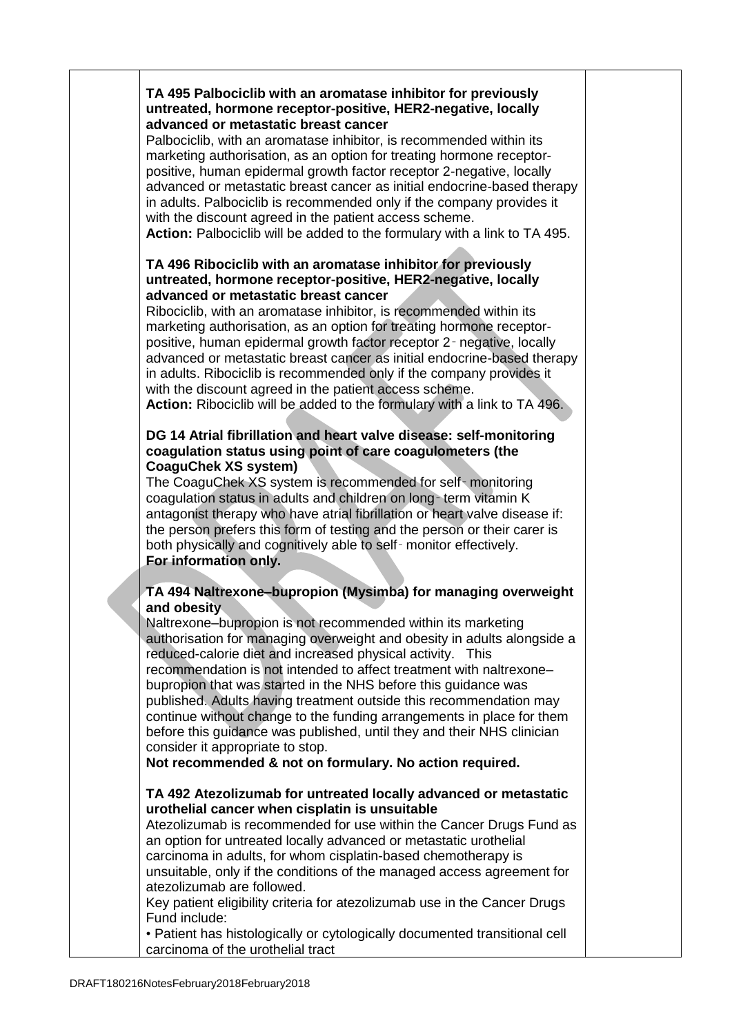### **TA 495 Palbociclib with an aromatase inhibitor for previously untreated, hormone receptor-positive, HER2-negative, locally advanced or metastatic breast cancer**

Palbociclib, with an aromatase inhibitor, is recommended within its marketing authorisation, as an option for treating hormone receptorpositive, human epidermal growth factor receptor 2-negative, locally advanced or metastatic breast cancer as initial endocrine-based therapy in adults. Palbociclib is recommended only if the company provides it with the discount agreed in the patient access scheme.

**Action:** Palbociclib will be added to the formulary with a link to TA 495.

### **TA 496 Ribociclib with an aromatase inhibitor for previously untreated, hormone receptor-positive, HER2-negative, locally advanced or metastatic breast cancer**

Ribociclib, with an aromatase inhibitor, is recommended within its marketing authorisation, as an option for treating hormone receptorpositive, human epidermal growth factor receptor 2‑ negative, locally advanced or metastatic breast cancer as initial endocrine-based therapy in adults. Ribociclib is recommended only if the company provides it with the discount agreed in the patient access scheme. **Action:** Ribociclib will be added to the formulary with a link to TA 496.

### **DG 14 Atrial fibrillation and heart valve disease: self-monitoring coagulation status using point of care coagulometers (the CoaguChek XS system)**

The CoaguChek XS system is recommended for self‑ monitoring coagulation status in adults and children on long‑ term vitamin K antagonist therapy who have atrial fibrillation or heart valve disease if: the person prefers this form of testing and the person or their carer is both physically and cognitively able to self‑ monitor effectively. **For information only.**

# **TA 494 Naltrexone–bupropion (Mysimba) for managing overweight and obesity**

Naltrexone–bupropion is not recommended within its marketing authorisation for managing overweight and obesity in adults alongside a reduced-calorie diet and increased physical activity. This recommendation is not intended to affect treatment with naltrexone– bupropion that was started in the NHS before this guidance was published. Adults having treatment outside this recommendation may continue without change to the funding arrangements in place for them before this guidance was published, until they and their NHS clinician consider it appropriate to stop.

**Not recommended & not on formulary. No action required.**

## **TA 492 Atezolizumab for untreated locally advanced or metastatic urothelial cancer when cisplatin is unsuitable**

Atezolizumab is recommended for use within the Cancer Drugs Fund as an option for untreated locally advanced or metastatic urothelial carcinoma in adults, for whom cisplatin-based chemotherapy is unsuitable, only if the conditions of the managed access agreement for atezolizumab are followed.

Key patient eligibility criteria for atezolizumab use in the Cancer Drugs Fund include:

• Patient has histologically or cytologically documented transitional cell carcinoma of the urothelial tract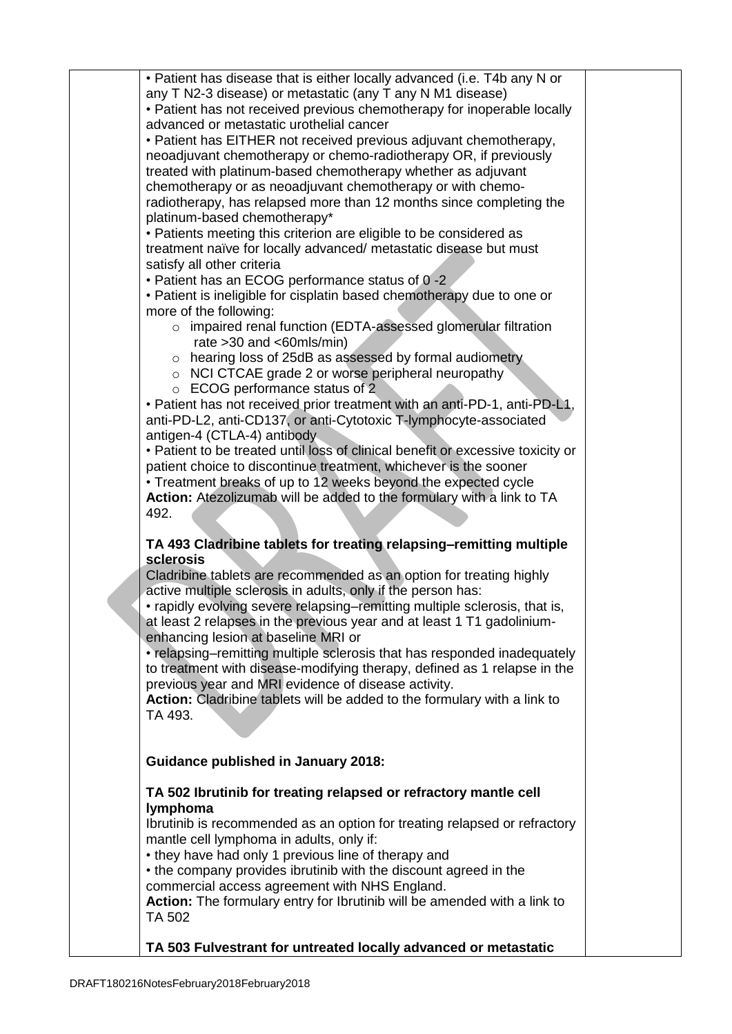| • Patient has disease that is either locally advanced (i.e. T4b any N or        |  |
|---------------------------------------------------------------------------------|--|
|                                                                                 |  |
| any T N2-3 disease) or metastatic (any T any N M1 disease)                      |  |
| • Patient has not received previous chemotherapy for inoperable locally         |  |
| advanced or metastatic urothelial cancer                                        |  |
| • Patient has EITHER not received previous adjuvant chemotherapy,               |  |
| neoadjuvant chemotherapy or chemo-radiotherapy OR, if previously                |  |
| treated with platinum-based chemotherapy whether as adjuvant                    |  |
| chemotherapy or as neoadjuvant chemotherapy or with chemo-                      |  |
| radiotherapy, has relapsed more than 12 months since completing the             |  |
| platinum-based chemotherapy*                                                    |  |
| • Patients meeting this criterion are eligible to be considered as              |  |
| treatment naïve for locally advanced/ metastatic disease but must               |  |
| satisfy all other criteria                                                      |  |
| • Patient has an ECOG performance status of 0-2                                 |  |
| • Patient is ineligible for cisplatin based chemotherapy due to one or          |  |
| more of the following:                                                          |  |
| o impaired renal function (EDTA-assessed glomerular filtration                  |  |
| rate $>30$ and $<\,60$ mls/min)                                                 |  |
| o hearing loss of 25dB as assessed by formal audiometry                         |  |
|                                                                                 |  |
| $\circ$ NCI CTCAE grade 2 or worse peripheral neuropathy                        |  |
| ○ ECOG performance status of 2                                                  |  |
| . Patient has not received prior treatment with an anti-PD-1, anti-PD-L1,       |  |
| anti-PD-L2, anti-CD137, or anti-Cytotoxic T-lymphocyte-associated               |  |
| antigen-4 (CTLA-4) antibody.                                                    |  |
| • Patient to be treated until loss of clinical benefit or excessive toxicity or |  |
| patient choice to discontinue treatment, whichever is the sooner                |  |
| • Treatment breaks of up to 12 weeks beyond the expected cycle                  |  |
| Action: Atezolizumab will be added to the formulary with a link to TA           |  |
| 492.                                                                            |  |
|                                                                                 |  |
| TA 493 Cladribine tablets for treating relapsing-remitting multiple             |  |
| sclerosis                                                                       |  |
| Cladribine tablets are recommended as an option for treating highly             |  |
| active multiple sclerosis in adults, only if the person has:                    |  |
| • rapidly evolving severe relapsing–remitting multiple sclerosis, that is,      |  |
| at least 2 relapses in the previous year and at least 1 T1 gadolinium-          |  |
| enhancing lesion at baseline MRI or                                             |  |
| • relapsing–remitting multiple sclerosis that has responded inadequately        |  |
| to treatment with disease-modifying therapy, defined as 1 relapse in the        |  |
| previous year and MRI evidence of disease activity.                             |  |
| Action: Cladribine tablets will be added to the formulary with a link to        |  |
| TA 493.                                                                         |  |
|                                                                                 |  |
|                                                                                 |  |
| <b>Guidance published in January 2018:</b>                                      |  |
|                                                                                 |  |
| TA 502 Ibrutinib for treating relapsed or refractory mantle cell                |  |
| lymphoma                                                                        |  |
| Ibrutinib is recommended as an option for treating relapsed or refractory       |  |
| mantle cell lymphoma in adults, only if:                                        |  |
| • they have had only 1 previous line of therapy and                             |  |
| • the company provides ibrutinib with the discount agreed in the                |  |
| commercial access agreement with NHS England.                                   |  |
| Action: The formulary entry for Ibrutinib will be amended with a link to        |  |
| TA 502                                                                          |  |
|                                                                                 |  |
| TA 503 Fulvestrant for untreated locally advanced or metastatic                 |  |
|                                                                                 |  |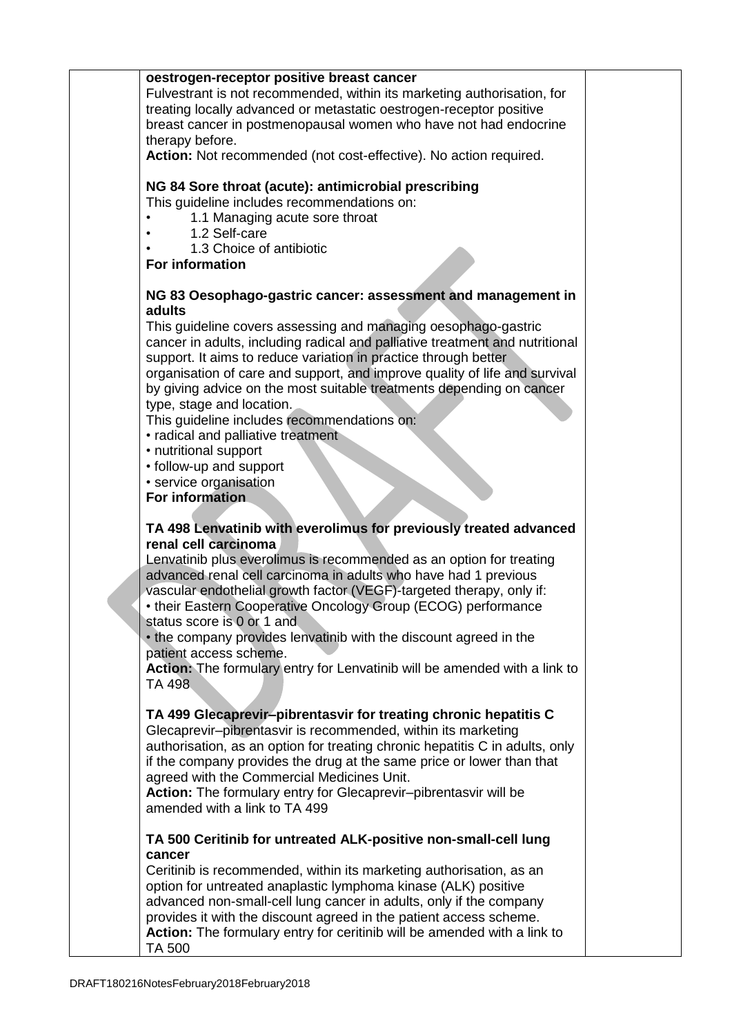**oestrogen-receptor positive breast cancer** Fulvestrant is not recommended, within its marketing authorisation, for treating locally advanced or metastatic oestrogen-receptor positive breast cancer in postmenopausal women who have not had endocrine therapy before. **Action:** Not recommended (not cost-effective). No action required. **NG 84 Sore throat (acute): antimicrobial prescribing** This guideline includes recommendations on: 1.1 Managing acute sore throat • 1.2 Self-care • 1.3 Choice of antibiotic **For information NG 83 Oesophago-gastric cancer: assessment and management in adults** This guideline covers assessing and managing oesophago-gastric cancer in adults, including radical and palliative treatment and nutritional support. It aims to reduce variation in practice through better organisation of care and support, and improve quality of life and survival by giving advice on the most suitable treatments depending on cancer type, stage and location. This guideline includes recommendations on: • radical and palliative treatment • nutritional support • follow-up and support • service organisation **For information TA 498 Lenvatinib with everolimus for previously treated advanced renal cell carcinoma** Lenvatinib plus everolimus is recommended as an option for treating advanced renal cell carcinoma in adults who have had 1 previous vascular endothelial growth factor (VEGF)-targeted therapy, only if: • their Eastern Cooperative Oncology Group (ECOG) performance status score is 0 or 1 and • the company provides lenvatinib with the discount agreed in the patient access scheme. **Action:** The formulary entry for Lenvatinib will be amended with a link to TA 498 **TA 499 Glecaprevir–pibrentasvir for treating chronic hepatitis C** Glecaprevir–pibrentasvir is recommended, within its marketing authorisation, as an option for treating chronic hepatitis C in adults, only if the company provides the drug at the same price or lower than that agreed with the Commercial Medicines Unit. **Action:** The formulary entry for Glecaprevir–pibrentasvir will be amended with a link to TA 499 **TA 500 Ceritinib for untreated ALK-positive non-small-cell lung cancer** Ceritinib is recommended, within its marketing authorisation, as an option for untreated anaplastic lymphoma kinase (ALK) positive advanced non-small-cell lung cancer in adults, only if the company provides it with the discount agreed in the patient access scheme. **Action:** The formulary entry for ceritinib will be amended with a link to TA 500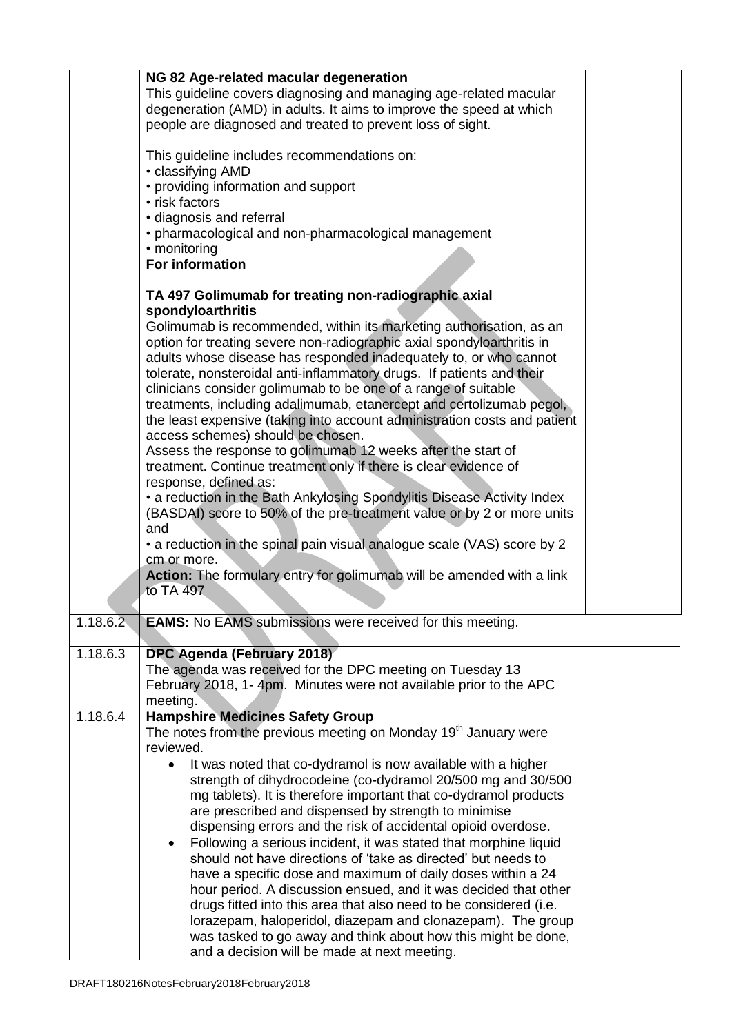|          | NG 82 Age-related macular degeneration                                        |  |
|----------|-------------------------------------------------------------------------------|--|
|          | This guideline covers diagnosing and managing age-related macular             |  |
|          | degeneration (AMD) in adults. It aims to improve the speed at which           |  |
|          | people are diagnosed and treated to prevent loss of sight.                    |  |
|          |                                                                               |  |
|          | This guideline includes recommendations on:                                   |  |
|          | • classifying AMD                                                             |  |
|          | • providing information and support                                           |  |
|          | • risk factors                                                                |  |
|          | · diagnosis and referral                                                      |  |
|          | • pharmacological and non-pharmacological management                          |  |
|          | • monitoring                                                                  |  |
|          | <b>For information</b>                                                        |  |
|          |                                                                               |  |
|          | TA 497 Golimumab for treating non-radiographic axial                          |  |
|          | spondyloarthritis                                                             |  |
|          | Golimumab is recommended, within its marketing authorisation, as an           |  |
|          | option for treating severe non-radiographic axial spondyloarthritis in        |  |
|          | adults whose disease has responded inadequately to, or who cannot             |  |
|          | tolerate, nonsteroidal anti-inflammatory drugs. If patients and their         |  |
|          | clinicians consider golimumab to be one of a range of suitable                |  |
|          | treatments, including adalimumab, etanercept and certolizumab pegol,          |  |
|          | the least expensive (taking into account administration costs and patient     |  |
|          | access schemes) should be chosen.                                             |  |
|          | Assess the response to golimumab 12 weeks after the start of                  |  |
|          | treatment. Continue treatment only if there is clear evidence of              |  |
|          | response, defined as:                                                         |  |
|          | • a reduction in the Bath Ankylosing Spondylitis Disease Activity Index       |  |
|          | (BASDAI) score to 50% of the pre-treatment value or by 2 or more units<br>and |  |
|          | • a reduction in the spinal pain visual analogue scale (VAS) score by 2       |  |
|          | cm or more.                                                                   |  |
|          | Action: The formulary entry for golimumab will be amended with a link         |  |
|          | to TA 497                                                                     |  |
|          |                                                                               |  |
| 1.18.6.2 | <b>EAMS:</b> No EAMS submissions were received for this meeting.              |  |
|          |                                                                               |  |
| 1.18.6.3 | DPC Agenda (February 2018)                                                    |  |
|          | The agenda was received for the DPC meeting on Tuesday 13                     |  |
|          | February 2018, 1-4pm. Minutes were not available prior to the APC             |  |
|          | meeting.                                                                      |  |
| 1.18.6.4 | <b>Hampshire Medicines Safety Group</b>                                       |  |
|          | The notes from the previous meeting on Monday 19 <sup>th</sup> January were   |  |
|          | reviewed.                                                                     |  |
|          | It was noted that co-dydramol is now available with a higher<br>$\bullet$     |  |
|          | strength of dihydrocodeine (co-dydramol 20/500 mg and 30/500                  |  |
|          | mg tablets). It is therefore important that co-dydramol products              |  |
|          | are prescribed and dispensed by strength to minimise                          |  |
|          | dispensing errors and the risk of accidental opioid overdose.                 |  |
|          | Following a serious incident, it was stated that morphine liquid<br>$\bullet$ |  |
|          | should not have directions of 'take as directed' but needs to                 |  |
|          | have a specific dose and maximum of daily doses within a 24                   |  |
|          | hour period. A discussion ensued, and it was decided that other               |  |
|          | drugs fitted into this area that also need to be considered (i.e.             |  |
|          | lorazepam, haloperidol, diazepam and clonazepam). The group                   |  |
|          | was tasked to go away and think about how this might be done,                 |  |
|          | and a decision will be made at next meeting.                                  |  |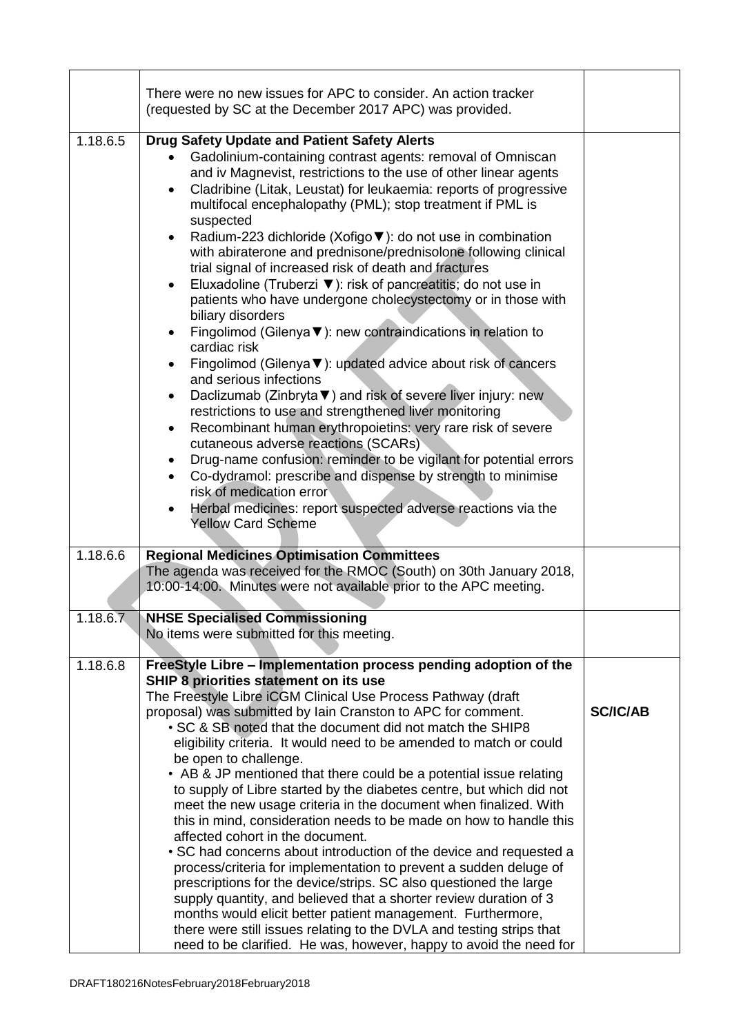|          | There were no new issues for APC to consider. An action tracker<br>(requested by SC at the December 2017 APC) was provided.                                                                                                                                                                                                                                                                                                                                                                                                                                                                                                                                                                                                                                                                                                                                                                                                                                                                                                                                                                                                                                                                                                                                                                                                                                                                                                                                                                   |                 |
|----------|-----------------------------------------------------------------------------------------------------------------------------------------------------------------------------------------------------------------------------------------------------------------------------------------------------------------------------------------------------------------------------------------------------------------------------------------------------------------------------------------------------------------------------------------------------------------------------------------------------------------------------------------------------------------------------------------------------------------------------------------------------------------------------------------------------------------------------------------------------------------------------------------------------------------------------------------------------------------------------------------------------------------------------------------------------------------------------------------------------------------------------------------------------------------------------------------------------------------------------------------------------------------------------------------------------------------------------------------------------------------------------------------------------------------------------------------------------------------------------------------------|-----------------|
| 1.18.6.5 | <b>Drug Safety Update and Patient Safety Alerts</b><br>Gadolinium-containing contrast agents: removal of Omniscan<br>and iv Magnevist, restrictions to the use of other linear agents<br>Cladribine (Litak, Leustat) for leukaemia: reports of progressive<br>$\bullet$<br>multifocal encephalopathy (PML); stop treatment if PML is<br>suspected<br>Radium-223 dichloride (Xofigo ▼): do not use in combination<br>$\bullet$<br>with abiraterone and prednisone/prednisolone following clinical<br>trial signal of increased risk of death and fractures<br>Eluxadoline (Truberzi ▼): risk of pancreatitis; do not use in<br>$\bullet$<br>patients who have undergone cholecystectomy or in those with<br>biliary disorders<br>Fingolimod (Gilenya $\nabla$ ): new contraindications in relation to<br>$\bullet$<br>cardiac risk<br>Fingolimod (Gilenya ▼): updated advice about risk of cancers<br>$\bullet$<br>and serious infections<br>Daclizumab (Zinbryta V) and risk of severe liver injury: new<br>٠<br>restrictions to use and strengthened liver monitoring<br>Recombinant human erythropoietins: very rare risk of severe<br>$\bullet$<br>cutaneous adverse reactions (SCARs)<br>Drug-name confusion: reminder to be vigilant for potential errors<br>$\bullet$<br>Co-dydramol: prescribe and dispense by strength to minimise<br>$\bullet$<br>risk of medication error<br>Herbal medicines: report suspected adverse reactions via the<br>$\bullet$<br><b>Yellow Card Scheme</b> |                 |
| 1.18.6.6 | <b>Regional Medicines Optimisation Committees</b><br>The agenda was received for the RMOC (South) on 30th January 2018,<br>10:00-14:00. Minutes were not available prior to the APC meeting.                                                                                                                                                                                                                                                                                                                                                                                                                                                                                                                                                                                                                                                                                                                                                                                                                                                                                                                                                                                                                                                                                                                                                                                                                                                                                                  |                 |
| 1.18.6.7 | <b>NHSE Specialised Commissioning</b><br>No items were submitted for this meeting.                                                                                                                                                                                                                                                                                                                                                                                                                                                                                                                                                                                                                                                                                                                                                                                                                                                                                                                                                                                                                                                                                                                                                                                                                                                                                                                                                                                                            |                 |
| 1.18.6.8 | FreeStyle Libre - Implementation process pending adoption of the<br>SHIP 8 priorities statement on its use<br>The Freestyle Libre iCGM Clinical Use Process Pathway (draft<br>proposal) was submitted by Iain Cranston to APC for comment.<br>. SC & SB noted that the document did not match the SHIP8<br>eligibility criteria. It would need to be amended to match or could<br>be open to challenge.<br>• AB & JP mentioned that there could be a potential issue relating<br>to supply of Libre started by the diabetes centre, but which did not<br>meet the new usage criteria in the document when finalized. With<br>this in mind, consideration needs to be made on how to handle this<br>affected cohort in the document.<br>• SC had concerns about introduction of the device and requested a<br>process/criteria for implementation to prevent a sudden deluge of<br>prescriptions for the device/strips. SC also questioned the large<br>supply quantity, and believed that a shorter review duration of 3<br>months would elicit better patient management. Furthermore,<br>there were still issues relating to the DVLA and testing strips that<br>need to be clarified. He was, however, happy to avoid the need for                                                                                                                                                                                                                                                         | <b>SC/IC/AB</b> |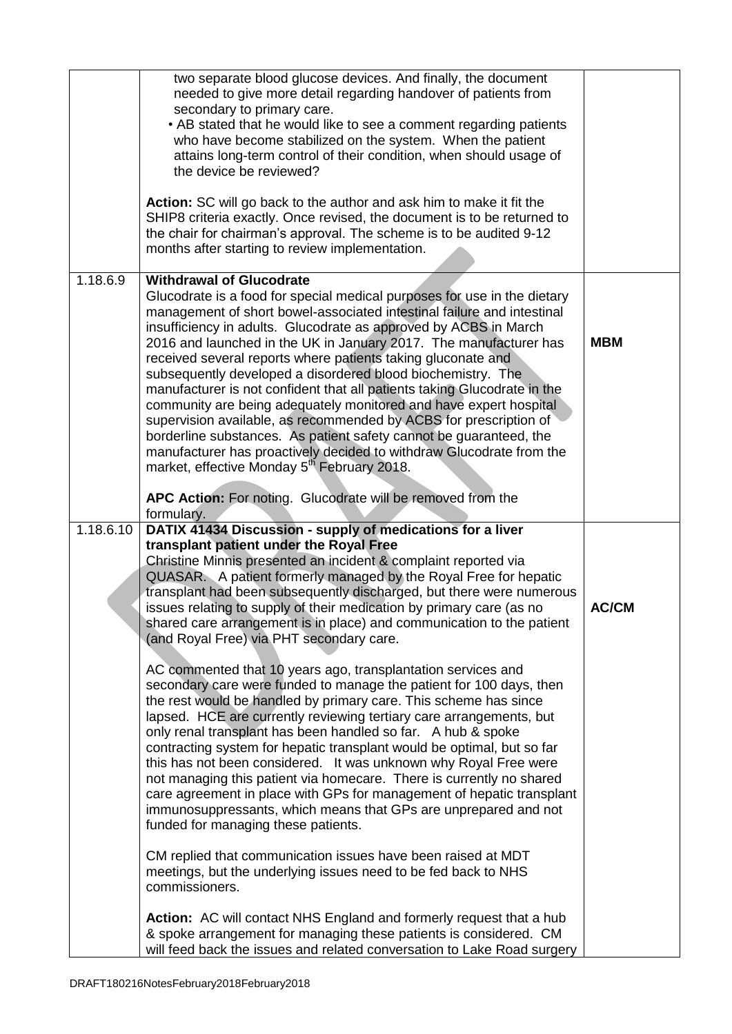|           | two separate blood glucose devices. And finally, the document<br>needed to give more detail regarding handover of patients from<br>secondary to primary care.<br>• AB stated that he would like to see a comment regarding patients<br>who have become stabilized on the system. When the patient<br>attains long-term control of their condition, when should usage of<br>the device be reviewed?<br>Action: SC will go back to the author and ask him to make it fit the<br>SHIP8 criteria exactly. Once revised, the document is to be returned to<br>the chair for chairman's approval. The scheme is to be audited 9-12<br>months after starting to review implementation.                                                                                                                                                                                                                                                                                                                                                                                                                                                                                                                                                                                                                                                                                                                                                                                                                         |              |
|-----------|---------------------------------------------------------------------------------------------------------------------------------------------------------------------------------------------------------------------------------------------------------------------------------------------------------------------------------------------------------------------------------------------------------------------------------------------------------------------------------------------------------------------------------------------------------------------------------------------------------------------------------------------------------------------------------------------------------------------------------------------------------------------------------------------------------------------------------------------------------------------------------------------------------------------------------------------------------------------------------------------------------------------------------------------------------------------------------------------------------------------------------------------------------------------------------------------------------------------------------------------------------------------------------------------------------------------------------------------------------------------------------------------------------------------------------------------------------------------------------------------------------|--------------|
| 1.18.6.9  | <b>Withdrawal of Glucodrate</b><br>Glucodrate is a food for special medical purposes for use in the dietary<br>management of short bowel-associated intestinal failure and intestinal<br>insufficiency in adults. Glucodrate as approved by ACBS in March<br>2016 and launched in the UK in January 2017. The manufacturer has<br>received several reports where patients taking gluconate and<br>subsequently developed a disordered blood biochemistry. The<br>manufacturer is not confident that all patients taking Glucodrate in the<br>community are being adequately monitored and have expert hospital<br>supervision available, as recommended by ACBS for prescription of<br>borderline substances. As patient safety cannot be guaranteed, the<br>manufacturer has proactively decided to withdraw Glucodrate from the<br>market, effective Monday 5 <sup>th</sup> February 2018.<br>APC Action: For noting. Glucodrate will be removed from the<br>formulary.                                                                                                                                                                                                                                                                                                                                                                                                                                                                                                                               | <b>MBM</b>   |
| 1.18.6.10 | DATIX 41434 Discussion - supply of medications for a liver<br>transplant patient under the Royal Free<br>Christine Minnis presented an incident & complaint reported via<br>QUASAR. A patient formerly managed by the Royal Free for hepatic<br>transplant had been subsequently discharged, but there were numerous<br>issues relating to supply of their medication by primary care (as no<br>shared care arrangement is in place) and communication to the patient<br>(and Royal Free) via PHT secondary care.<br>AC commented that 10 years ago, transplantation services and<br>secondary care were funded to manage the patient for 100 days, then<br>the rest would be handled by primary care. This scheme has since<br>lapsed. HCE are currently reviewing tertiary care arrangements, but<br>only renal transplant has been handled so far. A hub & spoke<br>contracting system for hepatic transplant would be optimal, but so far<br>this has not been considered. It was unknown why Royal Free were<br>not managing this patient via homecare. There is currently no shared<br>care agreement in place with GPs for management of hepatic transplant<br>immunosuppressants, which means that GPs are unprepared and not<br>funded for managing these patients.<br>CM replied that communication issues have been raised at MDT<br>meetings, but the underlying issues need to be fed back to NHS<br>commissioners.<br>Action: AC will contact NHS England and formerly request that a hub | <b>AC/CM</b> |
|           | & spoke arrangement for managing these patients is considered. CM<br>will feed back the issues and related conversation to Lake Road surgery                                                                                                                                                                                                                                                                                                                                                                                                                                                                                                                                                                                                                                                                                                                                                                                                                                                                                                                                                                                                                                                                                                                                                                                                                                                                                                                                                            |              |